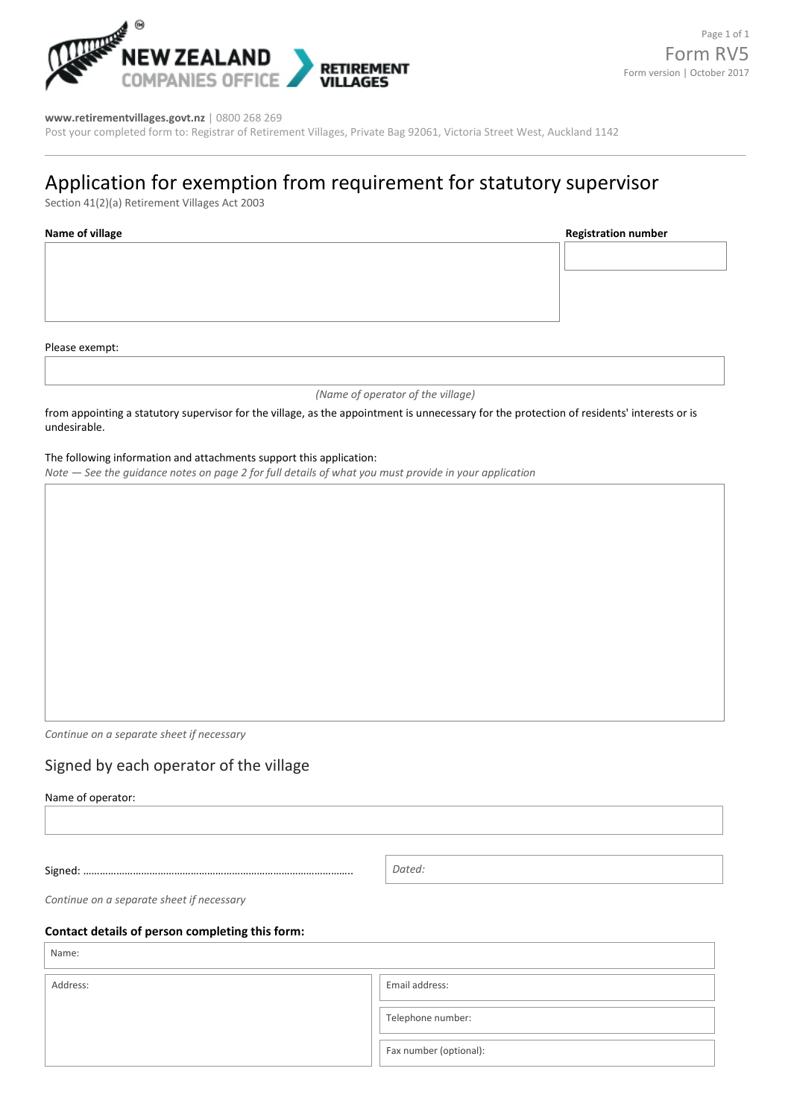

#### **[www.retirementvillages.govt.nz](http://www.retirementvillages.govt.nz/)** | 0800 268 269

Post your completed form to: Registrar of Retirement Villages, Private Bag 92061, Victoria Street West, Auckland 1142

# Application for exemption from requirement for statutory supervisor

Section 41(2)(a) Retirement Villages Act 2003

**Name of village Registration number**

Please exempt:

lage: l

*(Name of operator of the village)*

from appointing a statutory supervisor for the village, as the appointment is unnecessary for the protection of residents' interests or is undesirable.

### The following information and attachments support this application:

*Note — See the guidance notes on page 2 for full details of what you must provide in your application*

*Continue on a separate sheet if necessary* 

## Signed by each operator of the village

Name of operator:

Signed: ……………………………………………………………………………………..

*Dated:*

*Continue on a separate sheet if necessary*

#### **Contact details of person completing this form:**

Name:

Address: Fax number (optional): Telephone number: Email address: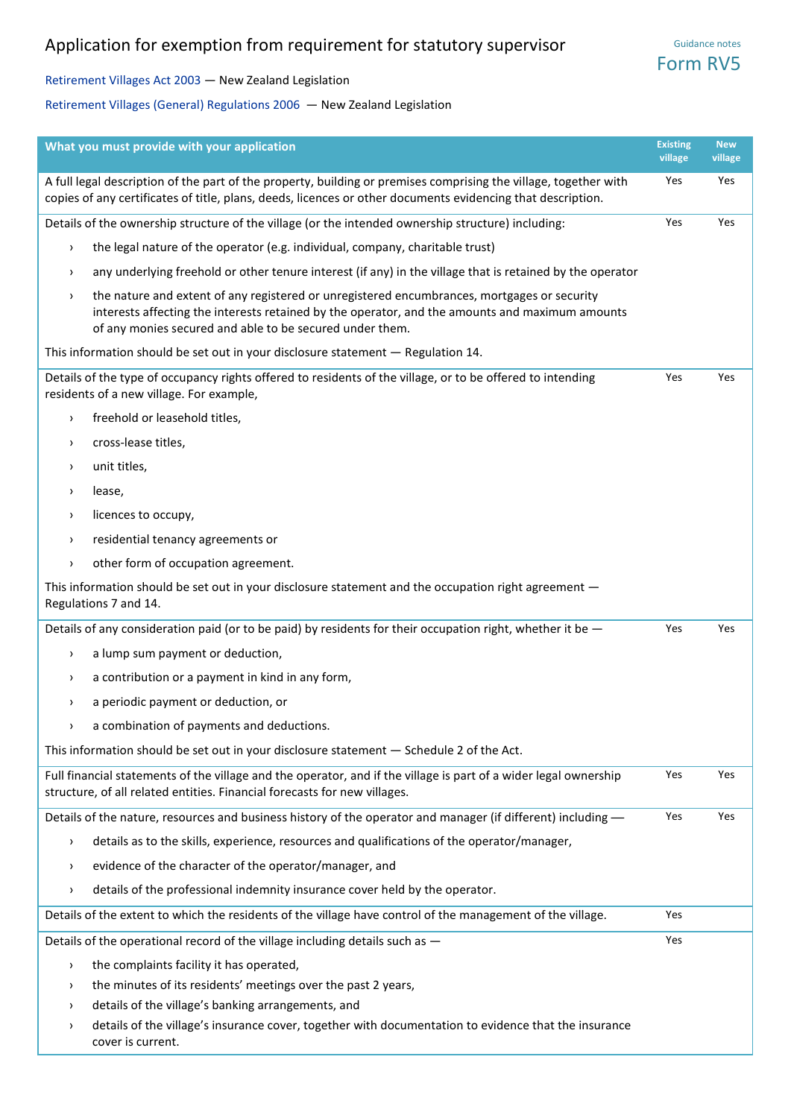# Application for exemption from requirement for statutory supervisor

Guidance notes Form RV5

[Retirement Villages Act 2003 —](http://www.legislation.govt.nz/act/public/2003/0112/latest/DLM220365.html) New Zealand Legislation

[Retirement Villages \(General\) Regulations 2006](http://www.legislation.govt.nz/regulation/public/2006/0298/latest/DLM409890.html) — New Zealand Legislation

| What you must provide with your application                                                                                                                                                                                                                                 | <b>Existing</b><br>village | <b>New</b><br>village |
|-----------------------------------------------------------------------------------------------------------------------------------------------------------------------------------------------------------------------------------------------------------------------------|----------------------------|-----------------------|
| A full legal description of the part of the property, building or premises comprising the village, together with<br>copies of any certificates of title, plans, deeds, licences or other documents evidencing that description.                                             | Yes                        | Yes                   |
| Details of the ownership structure of the village (or the intended ownership structure) including:                                                                                                                                                                          | Yes                        | Yes                   |
| the legal nature of the operator (e.g. individual, company, charitable trust)<br>$\rightarrow$                                                                                                                                                                              |                            |                       |
| any underlying freehold or other tenure interest (if any) in the village that is retained by the operator<br>$\rightarrow$                                                                                                                                                  |                            |                       |
| the nature and extent of any registered or unregistered encumbrances, mortgages or security<br>$\rightarrow$<br>interests affecting the interests retained by the operator, and the amounts and maximum amounts<br>of any monies secured and able to be secured under them. |                            |                       |
| This information should be set out in your disclosure statement - Regulation 14.                                                                                                                                                                                            |                            |                       |
| Details of the type of occupancy rights offered to residents of the village, or to be offered to intending<br>residents of a new village. For example,                                                                                                                      | Yes                        | Yes                   |
| freehold or leasehold titles,<br>$\,$                                                                                                                                                                                                                                       |                            |                       |
| cross-lease titles,<br>$\rightarrow$                                                                                                                                                                                                                                        |                            |                       |
| unit titles,<br>$\rightarrow$                                                                                                                                                                                                                                               |                            |                       |
| lease,<br>$\rightarrow$                                                                                                                                                                                                                                                     |                            |                       |
| licences to occupy,<br>$\rightarrow$                                                                                                                                                                                                                                        |                            |                       |
| residential tenancy agreements or<br>$\,$                                                                                                                                                                                                                                   |                            |                       |
| other form of occupation agreement.<br>$\rightarrow$                                                                                                                                                                                                                        |                            |                       |
| This information should be set out in your disclosure statement and the occupation right agreement -<br>Regulations 7 and 14.                                                                                                                                               |                            |                       |
| Details of any consideration paid (or to be paid) by residents for their occupation right, whether it be -                                                                                                                                                                  | Yes                        | Yes                   |
| a lump sum payment or deduction,<br>$\rightarrow$                                                                                                                                                                                                                           |                            |                       |
| a contribution or a payment in kind in any form,<br>$\rightarrow$                                                                                                                                                                                                           |                            |                       |
| a periodic payment or deduction, or<br>$\rightarrow$                                                                                                                                                                                                                        |                            |                       |
| a combination of payments and deductions.                                                                                                                                                                                                                                   |                            |                       |
| This information should be set out in your disclosure statement - Schedule 2 of the Act.                                                                                                                                                                                    |                            |                       |
| Full financial statements of the village and the operator, and if the village is part of a wider legal ownership<br>structure, of all related entities. Financial forecasts for new villages.                                                                               | Yes                        | Yes                   |
| Details of the nature, resources and business history of the operator and manager (if different) including -                                                                                                                                                                | Yes                        | Yes                   |
| details as to the skills, experience, resources and qualifications of the operator/manager,<br>$\rightarrow$                                                                                                                                                                |                            |                       |
| evidence of the character of the operator/manager, and<br>$\rightarrow$                                                                                                                                                                                                     |                            |                       |
| details of the professional indemnity insurance cover held by the operator.<br>$\rightarrow$                                                                                                                                                                                |                            |                       |
| Details of the extent to which the residents of the village have control of the management of the village.                                                                                                                                                                  | Yes                        |                       |
| Details of the operational record of the village including details such as -                                                                                                                                                                                                | Yes                        |                       |
| the complaints facility it has operated,<br>$\rightarrow$                                                                                                                                                                                                                   |                            |                       |
| the minutes of its residents' meetings over the past 2 years,<br>$\rightarrow$                                                                                                                                                                                              |                            |                       |
| details of the village's banking arrangements, and<br>$\rightarrow$                                                                                                                                                                                                         |                            |                       |
| details of the village's insurance cover, together with documentation to evidence that the insurance<br>><br>cover is current.                                                                                                                                              |                            |                       |